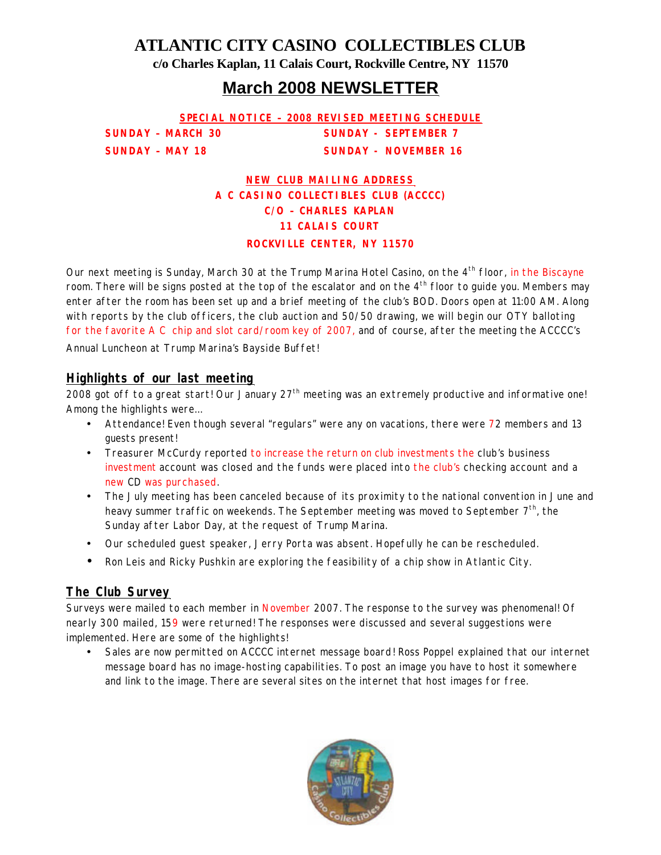**ATLANTIC CITY CASINO COLLECTIBLES CLUB**

**c/o Charles Kaplan, 11 Calais Court, Rockville Centre, NY 11570**

## **March 2008 NEWSLETTER**

**SPECIAL NOTICE – 2008 REVISED MEETING SCHEDULE SUNDAY - MARCH 30 SUNDAY - SEPTEMBER 7 SUNDAY – MAY 18 SUNDAY - NOVEMBER 16**

> **NEW CLUB MAILING ADDRESS A C CASINO COLLECTIBLES CLUB (ACCCC) C/O – CHARLES KAPLAN 11 CALAIS COURT**

**ROCKVILLE CENTER, NY 11570**

Our next meeting is Sunday, March 30 at the Trump Marina Hotel Casino, on the 4<sup>th</sup> floor, in the Biscayne room. There will be signs posted at the top of the escalator and on the  $4<sup>th</sup>$  floor to guide you. Members may enter after the room has been set up and a brief meeting of the club's BOD. Doors open at 11:00 AM. Along with reports by the club officers, the club auction and 50/50 drawing, we will begin our OTY balloting for the favorite A C chip and slot card/room key of 2007, and of course, after the meeting the ACCCC's

Annual Luncheon at Trump Marina's Bayside Buffet!

#### *Highlights of our last meeting*

2008 got off to a great start! Our January 27<sup>th</sup> meeting was an extremely productive and informative one! Among the highlights were…

- Attendance! Even though several "regulars" were any on vacations, there were 72 members and 13 guests present!
- Treasurer McCurdy reported to increase the return on club investments the club's business investment account was closed and the funds were placed into the club's checking account and a new CD was purchased.
- The July meeting has been canceled because of its proximity to the national convention in June and heavy summer traffic on weekends. The September meeting was moved to September  $7<sup>th</sup>$ , the Sunday after Labor Day, at the request of Trump Marina.
- Our scheduled guest speaker, Jerry Porta was absent. Hopefully he can be rescheduled.
- Ron Leis and Ricky Pushkin are exploring the feasibility of a chip show in Atlantic City.

#### *The Club Survey*

Surveys were mailed to each member in November 2007. The response to the survey was phenomenal! Of nearly 300 mailed, 159 were returned! The responses were discussed and several suggestions were implemented. Here are some of the highlights!

• Sales are now permitted on ACCCC internet message board! Ross Poppel explained that our internet message board has no image-hosting capabilities. To post an image you have to host it somewhere and link to the image. There are several sites on the internet that host images for free.